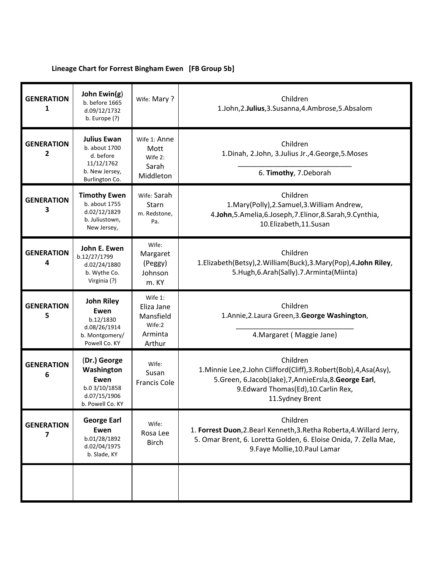## **Lineage Chart for Forrest Bingham Ewen [FB Group 5b]**

| <b>GENERATION</b><br>1 | John Ewin(g)<br>b. before 1665<br>d.09/12/1732<br>b. Europe (?)                                    | Wife: Mary?                                                          | Children<br>1.John, 2.Julius, 3.Susanna, 4.Ambrose, 5.Absalom                                                                                                                                            |
|------------------------|----------------------------------------------------------------------------------------------------|----------------------------------------------------------------------|----------------------------------------------------------------------------------------------------------------------------------------------------------------------------------------------------------|
| <b>GENERATION</b><br>2 | <b>Julius Ewan</b><br>b. about 1700<br>d. before<br>11/12/1762<br>b. New Jersey,<br>Burlington Co. | Wife 1: Anne<br>Mott<br>Wife 2:<br>Sarah<br>Middleton                | Children<br>1. Dinah, 2. John, 3. Julius Jr., 4. George, 5. Moses<br>6. Timothy, 7. Deborah                                                                                                              |
| <b>GENERATION</b><br>3 | <b>Timothy Ewen</b><br>b. about 1755<br>d.02/12/1829<br>b. Juliustown,<br>New Jersey,              | Wife: Sarah<br>Starn<br>m. Redstone,<br>Pa.                          | Children<br>1. Mary (Polly), 2. Samuel, 3. William Andrew,<br>4.John, 5.Amelia, 6.Joseph, 7.Elinor, 8.Sarah, 9.Cynthia,<br>10.Elizabeth,11.Susan                                                         |
| <b>GENERATION</b><br>4 | John E. Ewen<br>b.12/27/1799<br>d.02/24/1880<br>b. Wythe Co.<br>Virginia (?)                       | Wife:<br>Margaret<br>(Peggy)<br>Johnson<br>m. KY                     | Children<br>1.Elizabeth(Betsy), 2. William(Buck), 3. Mary(Pop), 4. John Riley,<br>5.Hugh, 6.Arah (Sally). 7.Arminta (Miinta)                                                                             |
| <b>GENERATION</b><br>5 | <b>John Riley</b><br>Ewen<br>b.12/1830<br>d.08/26/1914<br>b. Montgomery/<br>Powell Co. KY          | Wife $1$ :<br>Eliza Jane<br>Mansfield<br>Wife:2<br>Arminta<br>Arthur | Children<br>1.Annie, 2.Laura Green, 3. George Washington,<br>4. Margaret (Maggie Jane)                                                                                                                   |
| <b>GENERATION</b><br>6 | (Dr.) George<br>Washington<br>Ewen<br>b.0 3/10/1858<br>d.07/15/1906<br>b. Powell Co. KY            | Wife:<br>Susan<br><b>Francis Cole</b>                                | Children<br>1. Minnie Lee, 2. John Clifford (Cliff), 3. Robert (Bob), 4, Asa (Asy),<br>5.Green, 6.Jacob(Jake), 7, Annie Ersla, 8. George Earl,<br>9.Edward Thomas(Ed), 10.Carlin Rex,<br>11.Sydney Brent |
| <b>GENERATION</b><br>7 | <b>George Earl</b><br>Ewen<br>b.01/28/1892<br>d.02/04/1975<br>b. Slade, KY                         | Wife:<br>Rosa Lee<br><b>Birch</b>                                    | Children<br>1. Forrest Duon, 2. Bearl Kenneth, 3. Retha Roberta, 4. Willard Jerry,<br>5. Omar Brent, 6. Loretta Golden, 6. Eloise Onida, 7. Zella Mae,<br>9. Faye Mollie, 10. Paul Lamar                 |
|                        |                                                                                                    |                                                                      |                                                                                                                                                                                                          |